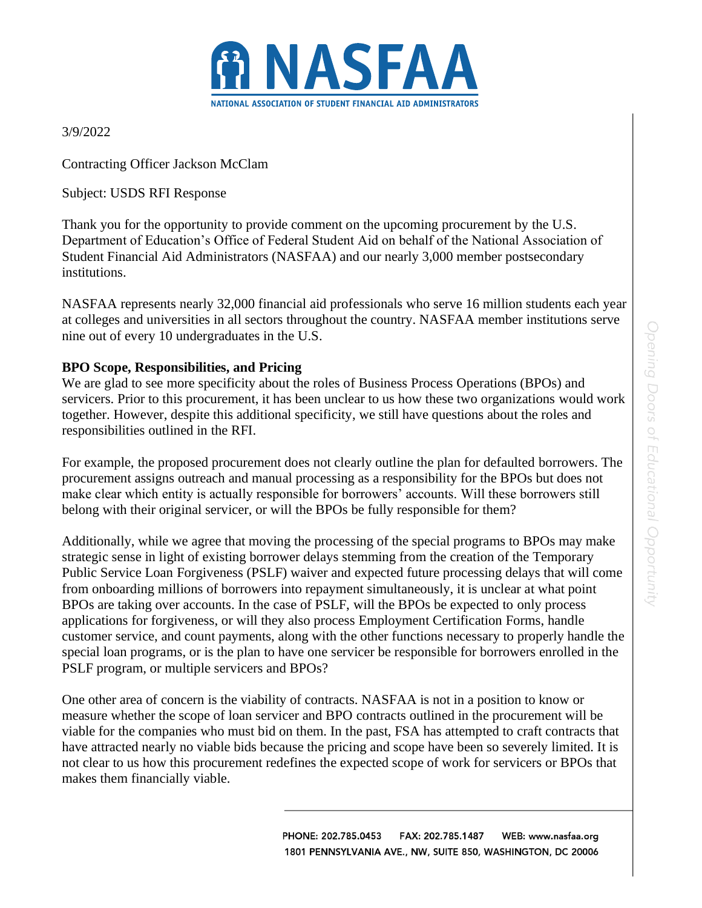

3/9/2022

Contracting Officer Jackson McClam

Subject: USDS RFI Response

Thank you for the opportunity to provide comment on the upcoming procurement by the U.S. Department of Education's Office of Federal Student Aid on behalf of the National Association of Student Financial Aid Administrators (NASFAA) and our nearly 3,000 member postsecondary institutions.

NASFAA represents nearly 32,000 financial aid professionals who serve 16 million students each year at colleges and universities in all sectors throughout the country. NASFAA member institutions serve nine out of every 10 undergraduates in the U.S.

## **BPO Scope, Responsibilities, and Pricing**

We are glad to see more specificity about the roles of Business Process Operations (BPOs) and servicers. Prior to this procurement, it has been unclear to us how these two organizations would work together. However, despite this additional specificity, we still have questions about the roles and responsibilities outlined in the RFI.

For example, the proposed procurement does not clearly outline the plan for defaulted borrowers. The procurement assigns outreach and manual processing as a responsibility for the BPOs but does not make clear which entity is actually responsible for borrowers' accounts. Will these borrowers still belong with their original servicer, or will the BPOs be fully responsible for them?

Additionally, while we agree that moving the processing of the special programs to BPOs may make strategic sense in light of existing borrower delays stemming from the creation of the Temporary Public Service Loan Forgiveness (PSLF) waiver and expected future processing delays that will come from onboarding millions of borrowers into repayment simultaneously, it is unclear at what point BPOs are taking over accounts. In the case of PSLF, will the BPOs be expected to only process applications for forgiveness, or will they also process Employment Certification Forms, handle customer service, and count payments, along with the other functions necessary to properly handle the special loan programs, or is the plan to have one servicer be responsible for borrowers enrolled in the PSLF program, or multiple servicers and BPOs?

One other area of concern is the viability of contracts. NASFAA is not in a position to know or measure whether the scope of loan servicer and BPO contracts outlined in the procurement will be viable for the companies who must bid on them. In the past, FSA has attempted to craft contracts that have attracted nearly no viable bids because the pricing and scope have been so severely limited. It is not clear to us how this procurement redefines the expected scope of work for servicers or BPOs that makes them financially viable.

> FAX: 202.785.1487 PHONE: 202.785.0453 WEB: www.nasfaa.org 1801 PENNSYLVANIA AVE., NW, SUITE 850, WASHINGTON, DC 20006